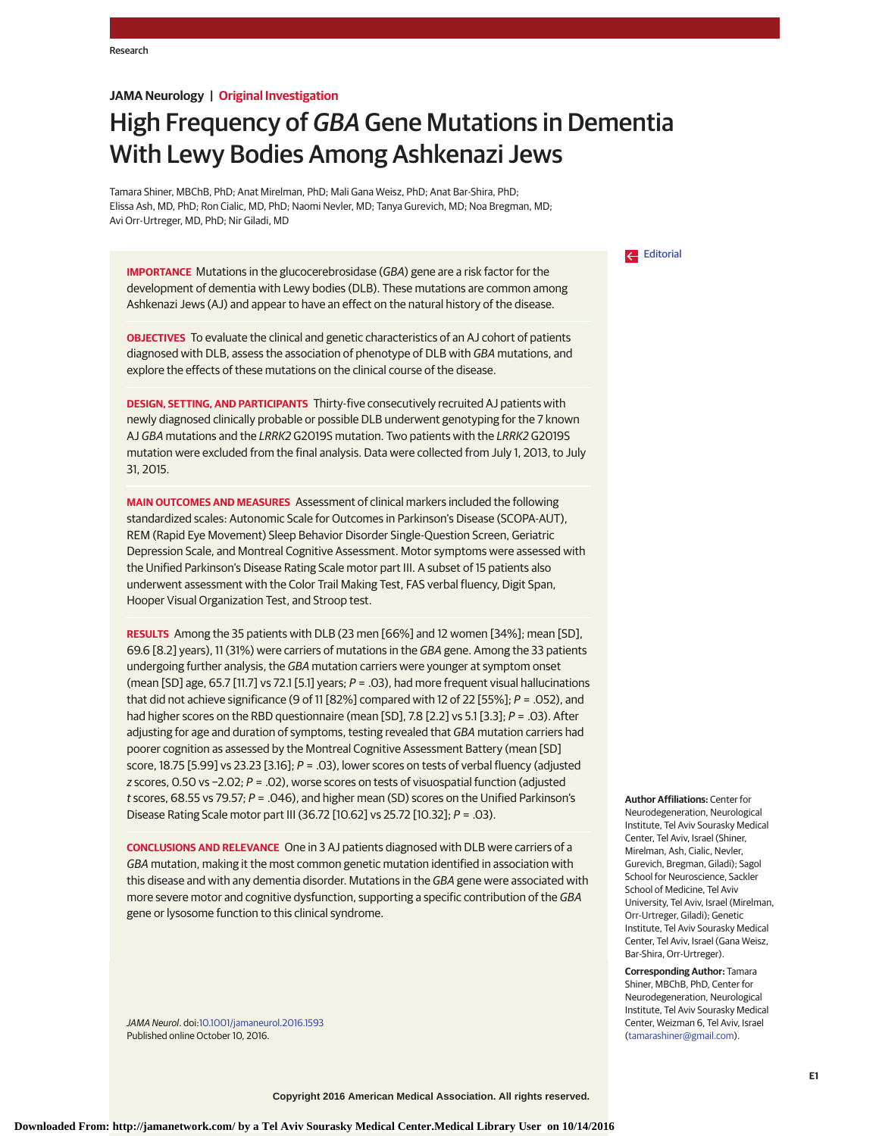# **JAMA Neurology | Original Investigation**

# High Frequency of GBA Gene Mutations in Dementia With Lewy Bodies Among Ashkenazi Jews

Tamara Shiner, MBChB, PhD; Anat Mirelman, PhD; Mali Gana Weisz, PhD; Anat Bar-Shira, PhD; Elissa Ash, MD, PhD; Ron Cialic, MD, PhD; Naomi Nevler, MD; Tanya Gurevich, MD; Noa Bregman, MD; Avi Orr-Urtreger, MD, PhD; Nir Giladi, MD

**IMPORTANCE** Mutations in the glucocerebrosidase (GBA) gene are a risk factor for the development of dementia with Lewy bodies (DLB). These mutations are common among Ashkenazi Jews (AJ) and appear to have an effect on the natural history of the disease.

**OBJECTIVES** To evaluate the clinical and genetic characteristics of an AJ cohort of patients diagnosed with DLB, assess the association of phenotype of DLB with GBA mutations, and explore the effects of these mutations on the clinical course of the disease.

**DESIGN, SETTING, AND PARTICIPANTS** Thirty-five consecutively recruited AJ patients with newly diagnosed clinically probable or possible DLB underwent genotyping for the 7 known AJ GBA mutations and the LRRK2 G2019S mutation. Two patients with the LRRK2 G2019S mutation were excluded from the final analysis. Data were collected from July 1, 2013, to July 31, 2015.

**MAIN OUTCOMES AND MEASURES** Assessment of clinical markers included the following standardized scales: Autonomic Scale for Outcomes in Parkinson's Disease (SCOPA-AUT), REM (Rapid Eye Movement) Sleep Behavior Disorder Single-Question Screen, Geriatric Depression Scale, and Montreal Cognitive Assessment. Motor symptoms were assessed with the Unified Parkinson's Disease Rating Scale motor part III. A subset of 15 patients also underwent assessment with the Color Trail Making Test, FAS verbal fluency, Digit Span, Hooper Visual Organization Test, and Stroop test.

**RESULTS** Among the 35 patients with DLB (23 men [66%] and 12 women [34%]; mean [SD], 69.6 [8.2] years), 11 (31%) were carriers of mutations in the GBA gene. Among the 33 patients undergoing further analysis, the GBA mutation carriers were younger at symptom onset (mean [SD] age, 65.7 [11.7] vs 72.1 [5.1] years;  $P = .03$ ), had more frequent visual hallucinations that did not achieve significance (9 of 11 [82%] compared with 12 of 22 [55%];  $P = .052$ ), and had higher scores on the RBD questionnaire (mean [SD], 7.8 [2.2] vs 5.1 [3.3]; P = .03). After adjusting for age and duration of symptoms, testing revealed that GBA mutation carriers had poorer cognition as assessed by the Montreal Cognitive Assessment Battery (mean [SD] score, 18.75 [5.99] vs 23.23 [3.16];  $P = .03$ ), lower scores on tests of verbal fluency (adjusted z scores, 0.50 vs −2.02; P = .02), worse scores on tests of visuospatial function (adjusted t scores, 68.55 vs 79.57; P = .046), and higher mean (SD) scores on the Unified Parkinson's Disease Rating Scale motor part III (36.72 [10.62] vs 25.72 [10.32]; P = .03).

**CONCLUSIONS AND RELEVANCE** One in 3 AJ patients diagnosed with DLB were carriers of a GBA mutation, making it the most common genetic mutation identified in association with this disease and with any dementia disorder. Mutations in the GBA gene were associated with more severe motor and cognitive dysfunction, supporting a specific contribution of the GBA gene or lysosome function to this clinical syndrome.

JAMA Neurol. doi[:10.1001/jamaneurol.2016.1593](http://jama.jamanetwork.com/article.aspx?doi=10.1001/jamaneurol.2016.1593&utm_campaign=articlePDF%26utm_medium=articlePDFlink%26utm_source=articlePDF%26utm_content=jamaneurol.2016.1593) Published online October 10, 2016.

# [Editorial](http://jama.jamanetwork.com/article.aspx?doi=10.1001/jamaneurol.2016.2546&utm_campaign=articlePDF%26utm_medium=articlePDFlink%26utm_source=articlePDF%26utm_content=jamaneurol.2016.1593)

**Author Affiliations:** Center for Neurodegeneration, Neurological Institute, Tel Aviv Sourasky Medical Center, Tel Aviv, Israel (Shiner, Mirelman, Ash, Cialic, Nevler, Gurevich, Bregman, Giladi); Sagol School for Neuroscience, Sackler School of Medicine, Tel Aviv University, Tel Aviv, Israel (Mirelman, Orr-Urtreger, Giladi); Genetic Institute, Tel Aviv Sourasky Medical Center, Tel Aviv, Israel (Gana Weisz, Bar-Shira, Orr-Urtreger).

**Corresponding Author:** Tamara Shiner, MBChB, PhD, Center for Neurodegeneration, Neurological Institute, Tel Aviv Sourasky Medical Center, Weizman 6, Tel Aviv, Israel [\(tamarashiner@gmail.com\)](mailto:tamarashiner@gmail.com).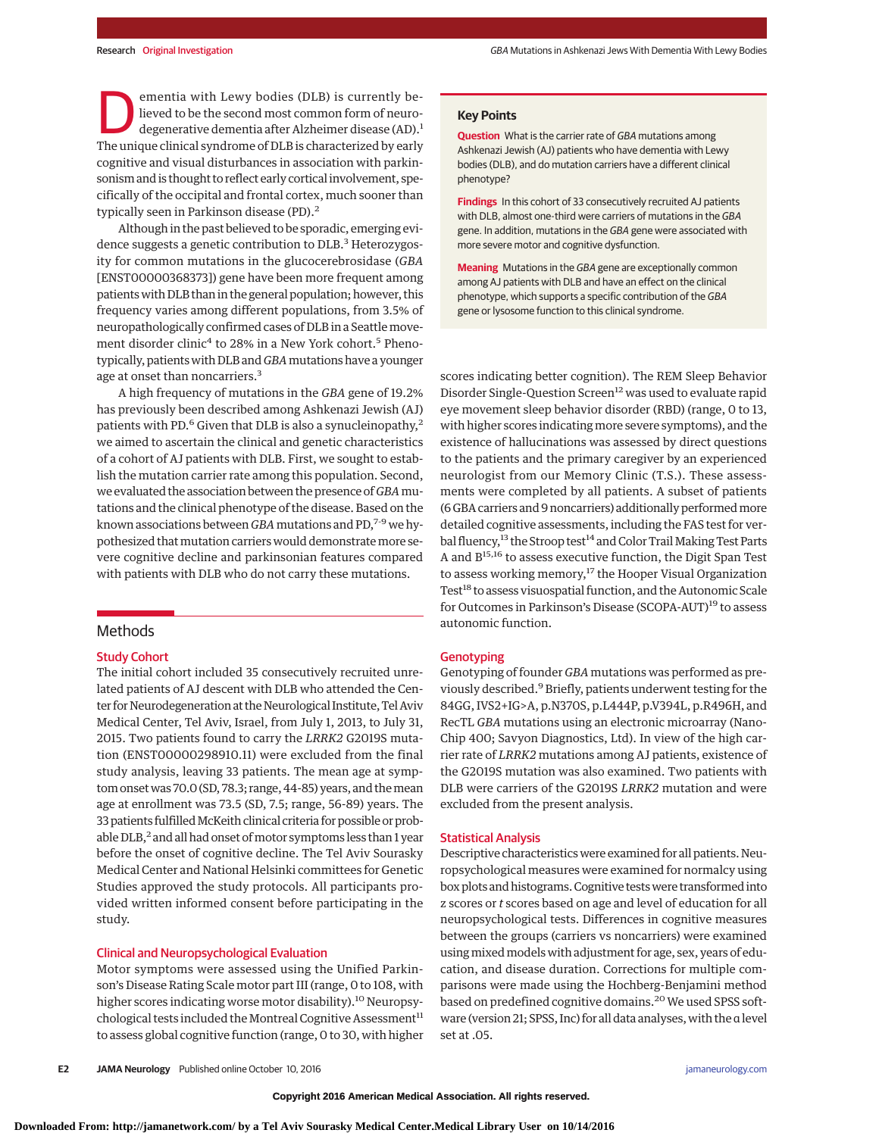ementia with Lewy bodies (DLB) is currently believed to be the second most common form of neurodegenerative dementia after Alzheimer disease (AD).1 The unique clinical syndrome of DLB is characterized by early cognitive and visual disturbances in association with parkinsonism and is thought to reflect early cortical involvement, specifically of the occipital and frontal cortex, much sooner than typically seen in Parkinson disease (PD).<sup>2</sup>

Although in the past believed to be sporadic, emerging evidence suggests a genetic contribution to DLB.<sup>3</sup> Heterozygosity for common mutations in the glucocerebrosidase (*GBA* [ENST00000368373]) gene have been more frequent among patients with DLB than in the general population; however, this frequency varies among different populations, from 3.5% of neuropathologically confirmed cases of DLB in a Seattlemovement disorder clinic<sup>4</sup> to 28% in a New York cohort.<sup>5</sup> Phenotypically, patients with DLB and *GBA*mutations have a younger age at onset than noncarriers.<sup>3</sup>

A high frequency of mutations in the *GBA* gene of 19.2% has previously been described among Ashkenazi Jewish (AJ) patients with PD. $^6$  Given that DLB is also a synucleinopathy, $^2$ we aimed to ascertain the clinical and genetic characteristics of a cohort of AJ patients with DLB. First, we sought to establish the mutation carrier rate among this population. Second, we evaluated the association between the presence of *GBA*mutations and the clinical phenotype of the disease. Based on the known associations between *GBA* mutations and PD,7-9 we hypothesized that mutation carriers would demonstrate more severe cognitive decline and parkinsonian features compared with patients with DLB who do not carry these mutations.

# Methods

### Study Cohort

The initial cohort included 35 consecutively recruited unrelated patients of AJ descent with DLB who attended the Center for Neurodegeneration at the Neurological Institute, Tel Aviv Medical Center, Tel Aviv, Israel, from July 1, 2013, to July 31, 2015. Two patients found to carry the *LRRK2* G2019S mutation (ENST00000298910.11) were excluded from the final study analysis, leaving 33 patients. The mean age at symptom onset was 70.0 (SD, 78.3; range, 44-85) years, and the mean age at enrollment was 73.5 (SD, 7.5; range, 56-89) years. The 33 patients fulfilled McKeith clinical criteria for possible or probable DLB, $^2$  and all had onset of motor symptoms less than 1 year before the onset of cognitive decline. The Tel Aviv Sourasky Medical Center and National Helsinki committees for Genetic Studies approved the study protocols. All participants provided written informed consent before participating in the study.

#### Clinical and Neuropsychological Evaluation

Motor symptoms were assessed using the Unified Parkinson's Disease Rating Scale motor part III (range, 0 to 108, with higher scores indicating worse motor disability).<sup>10</sup> Neuropsychological tests included the Montreal Cognitive Assessment<sup>11</sup> to assess global cognitive function (range, 0 to 30, with higher

## **Key Points**

**Question** What is the carrier rate of GBA mutations among Ashkenazi Jewish (AJ) patients who have dementia with Lewy bodies (DLB), and do mutation carriers have a different clinical phenotype?

**Findings** In this cohort of 33 consecutively recruited AJ patients with DLB, almost one-third were carriers of mutations in the GBA gene. In addition, mutations in the GBA gene were associated with more severe motor and cognitive dysfunction.

**Meaning** Mutations in the GBA gene are exceptionally common among AJ patients with DLB and have an effect on the clinical phenotype, which supports a specific contribution of the GBA gene or lysosome function to this clinical syndrome.

scores indicating better cognition). The REM Sleep Behavior Disorder Single-Question Screen<sup>12</sup> was used to evaluate rapid eye movement sleep behavior disorder (RBD) (range, 0 to 13, with higher scores indicating more severe symptoms), and the existence of hallucinations was assessed by direct questions to the patients and the primary caregiver by an experienced neurologist from our Memory Clinic (T.S.). These assessments were completed by all patients. A subset of patients (6 GBA carriers and 9 noncarriers) additionally performed more detailed cognitive assessments, including the FAS test for verbal fluency,<sup>13</sup> the Stroop test<sup>14</sup> and Color Trail Making Test Parts A and B15,16 to assess executive function, the Digit Span Test to assess working memory,<sup>17</sup> the Hooper Visual Organization Test<sup>18</sup> to assess visuospatial function, and the Autonomic Scale for Outcomes in Parkinson's Disease (SCOPA-AUT)19 to assess autonomic function.

#### **Genotyping**

Genotyping of founder *GBA* mutations was performed as previously described.<sup>9</sup> Briefly, patients underwent testing for the 84GG, IVS2+IG>A, p.N370S, p.L444P, p.V394L, p.R496H, and RecTL *GBA* mutations using an electronic microarray (Nano-Chip 400; Savyon Diagnostics, Ltd). In view of the high carrier rate of *LRRK2* mutations among AJ patients, existence of the G2019S mutation was also examined. Two patients with DLB were carriers of the G2019S *LRRK2* mutation and were excluded from the present analysis.

#### Statistical Analysis

Descriptive characteristics were examined for all patients. Neuropsychological measures were examined for normalcy using box plots and histograms. Cognitive testswere transformed into z scores or *t* scores based on age and level of education for all neuropsychological tests. Differences in cognitive measures between the groups (carriers vs noncarriers) were examined usingmixedmodels with adjustment for age, sex, years of education, and disease duration. Corrections for multiple comparisons were made using the Hochberg-Benjamini method based on predefined cognitive domains.<sup>20</sup> We used SPSS software (version 21; SPSS, Inc) for all data analyses, with the α level set at .05.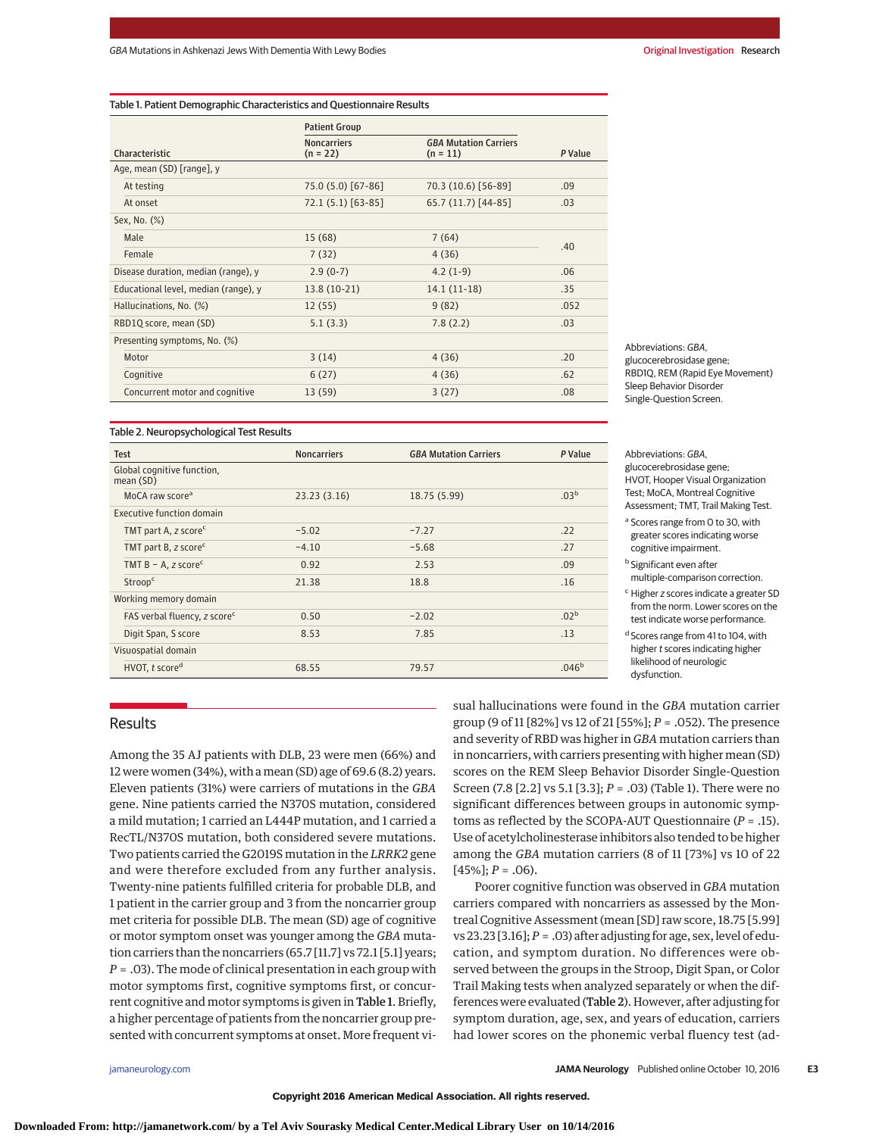#### Table 1. Patient Demographic Characteristics and Questionnaire Results

|                                      | <b>Patient Group</b>             |                                            |         |
|--------------------------------------|----------------------------------|--------------------------------------------|---------|
| Characteristic                       | <b>Noncarriers</b><br>$(n = 22)$ | <b>GBA Mutation Carriers</b><br>$(n = 11)$ | P Value |
| Age, mean (SD) [range], y            |                                  |                                            |         |
| At testing                           | 75.0 (5.0) [67-86]               | 70.3 (10.6) [56-89]                        | .09     |
| At onset                             | 72.1 (5.1) [63-85]               | 65.7 (11.7) [44-85]                        | .03     |
| Sex, No. (%)                         |                                  |                                            |         |
| Male                                 | 15 (68)                          | 7(64)                                      | .40     |
| Female                               | 7(32)                            | 4(36)                                      |         |
| Disease duration, median (range), y  | $2.9(0-7)$                       | $4.2(1-9)$                                 | .06     |
| Educational level, median (range), y | 13.8 (10-21)                     | $14.1(11-18)$                              | .35     |
| Hallucinations, No. (%)              | 12(55)                           | 9(82)                                      | .052    |
| RBD1Q score, mean (SD)               | 5.1(3.3)                         | 7.8(2.2)                                   | .03     |
| Presenting symptoms, No. (%)         |                                  |                                            |         |
| Motor                                | 3(14)                            | 4(36)                                      | .20     |
| Cognitive                            | 6(27)                            | 4(36)                                      | .62     |
| Concurrent motor and cognitive       | 13 (59)                          | 3(27)                                      | .08     |

Abbreviations: GBA, glucocerebrosidase gene; RBD1Q, REM (Rapid Eye Movement) Sleep Behavior Disorder Single-Question Screen.

#### Table 2. Neuropsychological Test Results

| <b>Test</b>                              | <b>Noncarriers</b> | <b>GBA Mutation Carriers</b> | P Value           |
|------------------------------------------|--------------------|------------------------------|-------------------|
| Global cognitive function,<br>mean (SD)  |                    |                              |                   |
| MoCA raw score <sup>a</sup>              | 23.23 (3.16)       | 18.75 (5.99)                 | .03 <sup>b</sup>  |
| Executive function domain                |                    |                              |                   |
| TMT part A, $z$ score <sup>c</sup>       | $-5.02$            | $-7.27$                      | .22               |
| TMT part B, $z$ score <sup>c</sup>       | $-4.10$            | $-5.68$                      | .27               |
| TMT B - A, z score <sup>c</sup>          | 0.92               | 2.53                         | .09               |
| Stroop <sup>c</sup>                      | 21.38              | 18.8                         | .16               |
| Working memory domain                    |                    |                              |                   |
| FAS verbal fluency, z score <sup>c</sup> | 0.50               | $-2.02$                      | .02 <sup>b</sup>  |
| Digit Span, S score                      | 8.53               | 7.85                         | .13               |
| Visuospatial domain                      |                    |                              |                   |
| HVOT, t score <sup>d</sup>               | 68.55              | 79.57                        | .046 <sup>b</sup> |

Abbreviations: GBA, glucocerebrosidase gene; HVOT, Hooper Visual Organization Test; MoCA, Montreal Cognitive Assessment; TMT, Trail Making Test.

<sup>a</sup> Scores range from 0 to 30, with greater scores indicating worse cognitive impairment.

**b** Significant even after multiple-comparison correction.

<sup>c</sup> Higher z scores indicate a greater SD from the norm. Lower scores on the test indicate worse performance.

<sup>d</sup> Scores range from 41 to 104, with higher t scores indicating higher likelihood of neurologic dysfunction.

# Results

Among the 35 AJ patients with DLB, 23 were men (66%) and 12 were women (34%), with amean (SD) age of 69.6 (8.2) years. Eleven patients (31%) were carriers of mutations in the *GBA* gene. Nine patients carried the N370S mutation, considered a mild mutation; 1 carried an L444P mutation, and 1 carried a RecTL/N370S mutation, both considered severe mutations. Two patients carried the G2019S mutation in the *LRRK2* gene and were therefore excluded from any further analysis. Twenty-nine patients fulfilled criteria for probable DLB, and 1 patient in the carrier group and 3 from the noncarrier group met criteria for possible DLB. The mean (SD) age of cognitive or motor symptom onset was younger among the *GBA* mutation carriers than the noncarriers (65.7 [11.7] vs 72.1 [5.1] years; *P* = .03). The mode of clinical presentation in each group with motor symptoms first, cognitive symptoms first, or concurrent cognitive and motor symptoms is given in Table 1. Briefly, a higher percentage of patients from the noncarrier group presented with concurrent symptoms at onset. More frequent visual hallucinations were found in the *GBA* mutation carrier group (9 of 11 [82%] vs 12 of 21 [55%]; *P* = .052). The presence and severity of RBD was higher in *GBA* mutation carriers than in noncarriers, with carriers presenting with higher mean (SD) scores on the REM Sleep Behavior Disorder Single-Question Screen (7.8 [2.2] vs 5.1 [3.3]; *P* = .03) (Table 1). There were no significant differences between groups in autonomic symptoms as reflected by the SCOPA-AUT Questionnaire (*P* = .15). Use of acetylcholinesterase inhibitors also tended to be higher among the *GBA* mutation carriers (8 of 11 [73%] vs 10 of 22  $[45\%]; P = .06$ ).

Poorer cognitive function was observed in *GBA* mutation carriers compared with noncarriers as assessed by the Montreal Cognitive Assessment (mean [SD] raw score, 18.75 [5.99] vs 23.23 [3.16];  $P = .03$ ) after adjusting for age, sex, level of education, and symptom duration. No differences were observed between the groups in the Stroop, Digit Span, or Color Trail Making tests when analyzed separately or when the differences were evaluated (Table 2). However, after adjusting for symptom duration, age, sex, and years of education, carriers had lower scores on the phonemic verbal fluency test (ad-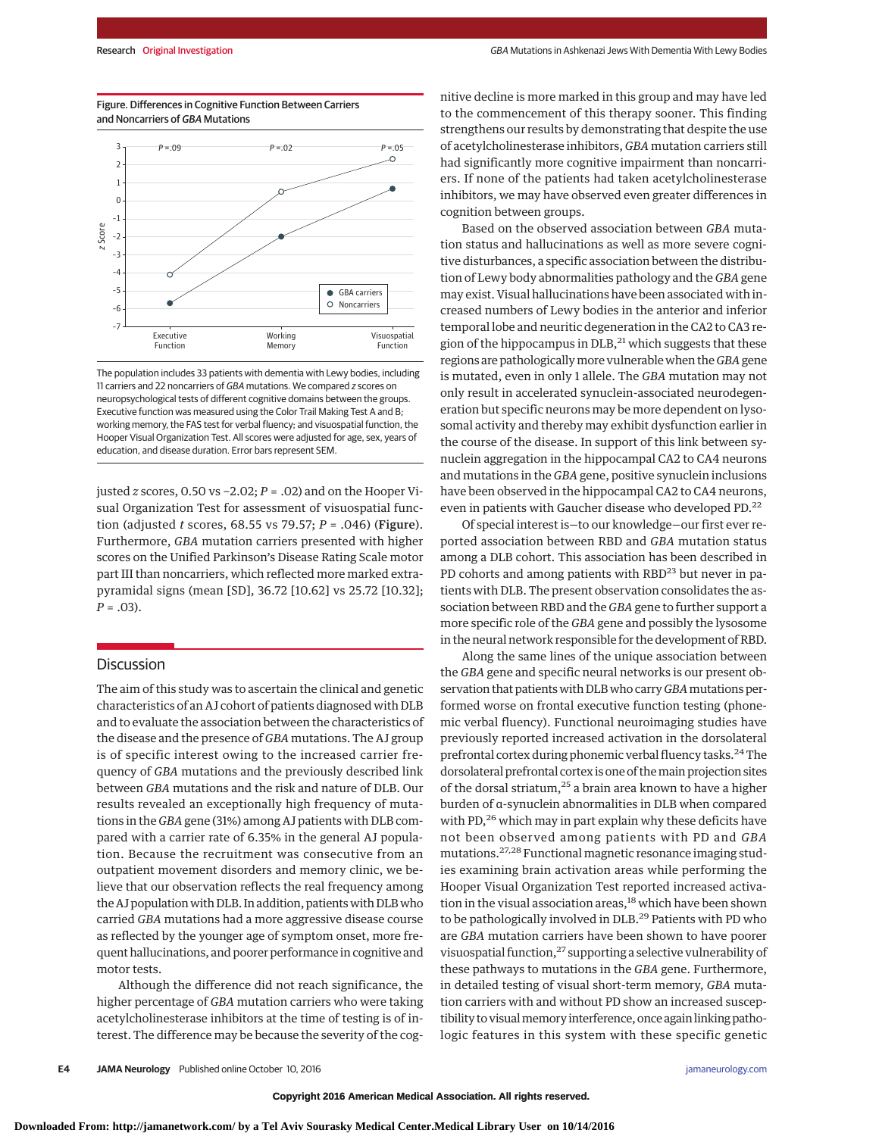



The population includes 33 patients with dementia with Lewy bodies, including 11 carriers and 22 noncarriers of GBA mutations. We compared z scores on neuropsychological tests of different cognitive domains between the groups. Executive function was measured using the Color Trail Making Test A and B; working memory, the FAS test for verbal fluency; and visuospatial function, the Hooper Visual Organization Test. All scores were adjusted for age, sex, years of education, and disease duration. Error bars represent SEM.

justed *z* scores, 0.50 vs −2.02; *P* = .02) and on the Hooper Visual Organization Test for assessment of visuospatial function (adjusted *t* scores, 68.55 vs 79.57; *P* = .046) (Figure). Furthermore, *GBA* mutation carriers presented with higher scores on the Unified Parkinson's Disease Rating Scale motor part III than noncarriers, which reflected more marked extrapyramidal signs (mean [SD], 36.72 [10.62] vs 25.72 [10.32]; *P* = .03).

# Discussion

The aim of this study was to ascertain the clinical and genetic characteristics of an AJ cohort of patients diagnosed with DLB and to evaluate the association between the characteristics of the disease and the presence of *GBA* mutations. The AJ group is of specific interest owing to the increased carrier frequency of *GBA* mutations and the previously described link between *GBA* mutations and the risk and nature of DLB. Our results revealed an exceptionally high frequency of mutations in the *GBA* gene (31%) among AJ patients with DLB compared with a carrier rate of 6.35% in the general AJ population. Because the recruitment was consecutive from an outpatient movement disorders and memory clinic, we believe that our observation reflects the real frequency among the AJ population with DLB. In addition, patients with DLB who carried *GBA* mutations had a more aggressive disease course as reflected by the younger age of symptom onset, more frequent hallucinations, and poorer performance in cognitive and motor tests.

Although the difference did not reach significance, the higher percentage of *GBA* mutation carriers who were taking acetylcholinesterase inhibitors at the time of testing is of interest. The difference may be because the severity of the cognitive decline is more marked in this group and may have led to the commencement of this therapy sooner. This finding strengthens our results by demonstrating that despite the use of acetylcholinesterase inhibitors, *GBA* mutation carriers still had significantly more cognitive impairment than noncarriers. If none of the patients had taken acetylcholinesterase inhibitors, we may have observed even greater differences in cognition between groups.

Based on the observed association between *GBA* mutation status and hallucinations as well as more severe cognitive disturbances, a specific association between the distribution of Lewy body abnormalities pathology and the *GBA* gene may exist. Visual hallucinations have been associated with increased numbers of Lewy bodies in the anterior and inferior temporal lobe and neuritic degeneration in the CA2 to CA3 region of the hippocampus in  $DLB$ ,<sup>21</sup> which suggests that these regions are pathologicallymore vulnerable when the *GBA* gene is mutated, even in only 1 allele. The *GBA* mutation may not only result in accelerated synuclein-associated neurodegeneration but specific neurons may be more dependent on lysosomal activity and thereby may exhibit dysfunction earlier in the course of the disease. In support of this link between synuclein aggregation in the hippocampal CA2 to CA4 neurons and mutations in the *GBA* gene, positive synuclein inclusions have been observed in the hippocampal CA2 to CA4 neurons, even in patients with Gaucher disease who developed PD.<sup>22</sup>

Of special interest is—to our knowledge—our first ever reported association between RBD and *GBA* mutation status among a DLB cohort. This association has been described in PD cohorts and among patients with RBD<sup>23</sup> but never in patients with DLB. The present observation consolidates the association between RBD and the *GBA* gene to further support a more specific role of the *GBA* gene and possibly the lysosome in the neural network responsible for the development of RBD.

Along the same lines of the unique association between the *GBA* gene and specific neural networks is our present observation that patients with DLB who carry *GBA*mutations performed worse on frontal executive function testing (phonemic verbal fluency). Functional neuroimaging studies have previously reported increased activation in the dorsolateral prefrontal cortex during phonemic verbal fluency tasks.<sup>24</sup> The dorsolateral prefrontal cortex is one of themain projection sites of the dorsal striatum,<sup>25</sup> a brain area known to have a higher burden of α-synuclein abnormalities in DLB when compared with PD,<sup>26</sup> which may in part explain why these deficits have not been observed among patients with PD and *GBA* mutations.<sup>27,28</sup> Functional magnetic resonance imaging studies examining brain activation areas while performing the Hooper Visual Organization Test reported increased activation in the visual association areas,<sup>18</sup> which have been shown to be pathologically involved in DLB.<sup>29</sup> Patients with PD who are *GBA* mutation carriers have been shown to have poorer visuospatial function, <sup>27</sup> supporting a selective vulnerability of these pathways to mutations in the *GBA* gene. Furthermore, in detailed testing of visual short-term memory, *GBA* mutation carriers with and without PD show an increased susceptibility to visual memory interference, once again linking pathologic features in this system with these specific genetic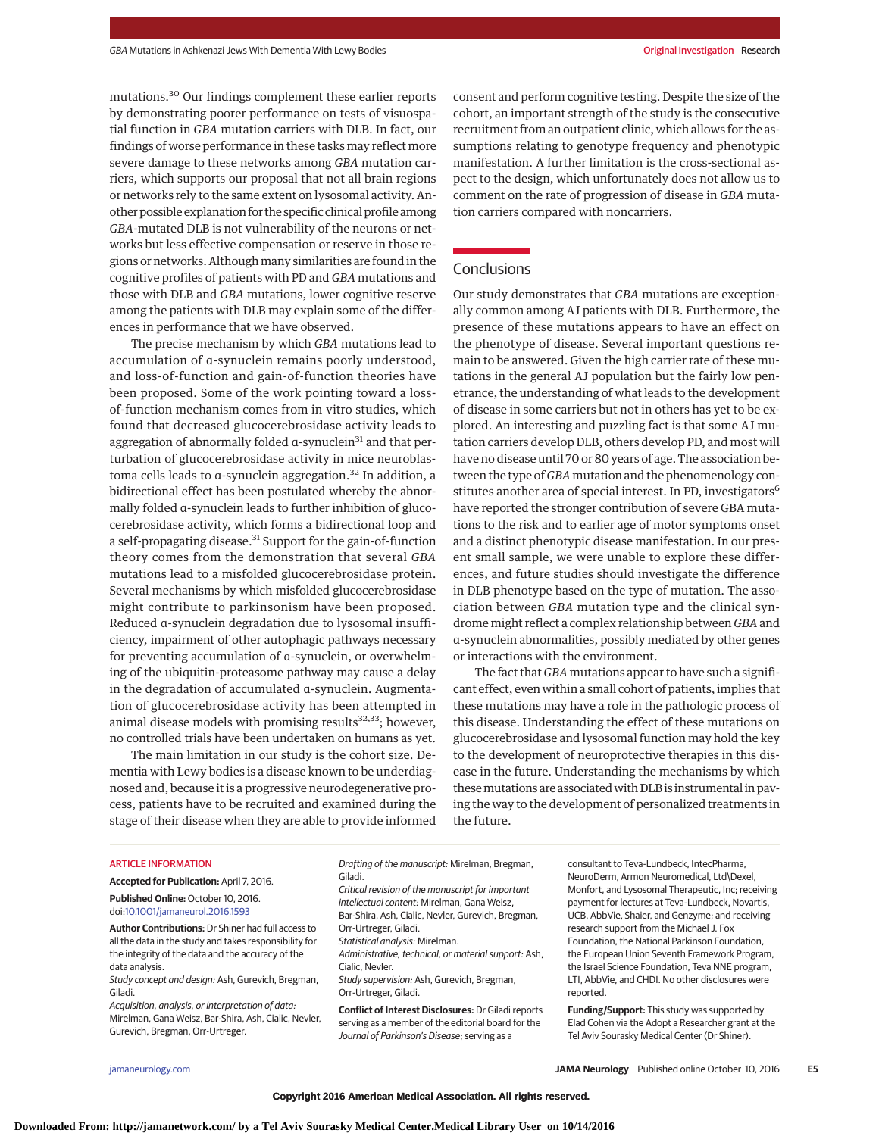mutations.<sup>30</sup> Our findings complement these earlier reports by demonstrating poorer performance on tests of visuospatial function in *GBA* mutation carriers with DLB. In fact, our findings of worse performance in these tasks may reflect more severe damage to these networks among *GBA* mutation carriers, which supports our proposal that not all brain regions or networks rely to the same extent on lysosomal activity. Another possible explanation for the specific clinical profile among *GBA*-mutated DLB is not vulnerability of the neurons or networks but less effective compensation or reserve in those regions or networks. Although many similarities are found in the cognitive profiles of patients with PD and *GBA* mutations and those with DLB and *GBA* mutations, lower cognitive reserve among the patients with DLB may explain some of the differences in performance that we have observed.

The precise mechanism by which *GBA* mutations lead to accumulation of α-synuclein remains poorly understood, and loss-of-function and gain-of-function theories have been proposed. Some of the work pointing toward a lossof-function mechanism comes from in vitro studies, which found that decreased glucocerebrosidase activity leads to aggregation of abnormally folded α-synuclein<sup>31</sup> and that perturbation of glucocerebrosidase activity in mice neuroblastoma cells leads to α-synuclein aggregation.<sup>32</sup> In addition, a bidirectional effect has been postulated whereby the abnormally folded α-synuclein leads to further inhibition of glucocerebrosidase activity, which forms a bidirectional loop and a self-propagating disease.<sup>31</sup> Support for the gain-of-function theory comes from the demonstration that several *GBA* mutations lead to a misfolded glucocerebrosidase protein. Several mechanisms by which misfolded glucocerebrosidase might contribute to parkinsonism have been proposed. Reduced α-synuclein degradation due to lysosomal insufficiency, impairment of other autophagic pathways necessary for preventing accumulation of α-synuclein, or overwhelming of the ubiquitin-proteasome pathway may cause a delay in the degradation of accumulated α-synuclein. Augmentation of glucocerebrosidase activity has been attempted in animal disease models with promising results<sup>32,33</sup>; however, no controlled trials have been undertaken on humans as yet.

The main limitation in our study is the cohort size. Dementia with Lewy bodies is a disease known to be underdiagnosed and, because it is a progressive neurodegenerative process, patients have to be recruited and examined during the stage of their disease when they are able to provide informed

consent and perform cognitive testing. Despite the size of the cohort, an important strength of the study is the consecutive recruitment from an outpatient clinic, which allows for the assumptions relating to genotype frequency and phenotypic manifestation. A further limitation is the cross-sectional aspect to the design, which unfortunately does not allow us to comment on the rate of progression of disease in *GBA* mutation carriers compared with noncarriers.

# **Conclusions**

Our study demonstrates that *GBA* mutations are exceptionally common among AJ patients with DLB. Furthermore, the presence of these mutations appears to have an effect on the phenotype of disease. Several important questions remain to be answered. Given the high carrier rate of these mutations in the general AJ population but the fairly low penetrance, the understanding of what leads to the development of disease in some carriers but not in others has yet to be explored. An interesting and puzzling fact is that some AJ mutation carriers develop DLB, others develop PD, and most will have no disease until 70 or 80 years of age. The association between the type of *GBA* mutation and the phenomenology constitutes another area of special interest. In PD, investigators<sup>6</sup> have reported the stronger contribution of severe GBA mutations to the risk and to earlier age of motor symptoms onset and a distinct phenotypic disease manifestation. In our present small sample, we were unable to explore these differences, and future studies should investigate the difference in DLB phenotype based on the type of mutation. The association between *GBA* mutation type and the clinical syndrome might reflect a complex relationship between *GBA* and α-synuclein abnormalities, possibly mediated by other genes or interactions with the environment.

The fact that *GBA* mutations appear to have such a significant effect, even within a small cohort of patients, implies that these mutations may have a role in the pathologic process of this disease. Understanding the effect of these mutations on glucocerebrosidase and lysosomal function may hold the key to the development of neuroprotective therapies in this disease in the future. Understanding the mechanisms by which these mutations are associated with DLB is instrumental in paving the way to the development of personalized treatments in the future.

#### ARTICLE INFORMATION

**Accepted for Publication:** April 7, 2016.

**Published Online:** October 10, 2016. doi[:10.1001/jamaneurol.2016.1593](http://jama.jamanetwork.com/article.aspx?doi=10.1001/jamaneurol.2016.1593&utm_campaign=articlePDF%26utm_medium=articlePDFlink%26utm_source=articlePDF%26utm_content=jamaneurol.2016.1593)

**Author Contributions:** Dr Shiner had full access to all the data in the study and takes responsibility for the integrity of the data and the accuracy of the data analysis.

Study concept and design: Ash, Gurevich, Bregman, Giladi.

Acquisition, analysis, or interpretation of data: Mirelman, Gana Weisz, Bar-Shira, Ash, Cialic, Nevler, Gurevich, Bregman, Orr-Urtreger.

Drafting of the manuscript: Mirelman, Bregman, Giladi. Critical revision of the manuscript for important intellectual content: Mirelman, Gana Weisz, Bar-Shira, Ash, Cialic, Nevler, Gurevich, Bregman,

Orr-Urtreger, Giladi.

Statistical analysis: Mirelman.

Administrative, technical, or material support: Ash, Cialic, Nevler.

Study supervision: Ash, Gurevich, Bregman, Orr-Urtreger, Giladi.

**Conflict of Interest Disclosures:** Dr Giladi reports serving as a member of the editorial board for the Journal of Parkinson's Disease; serving as a

consultant to Teva-Lundbeck, IntecPharma, NeuroDerm, Armon Neuromedical, Ltd\Dexel, Monfort, and Lysosomal Therapeutic, Inc; receiving payment for lectures at Teva-Lundbeck, Novartis, UCB, AbbVie, Shaier, and Genzyme; and receiving research support from the Michael J. Fox Foundation, the National Parkinson Foundation, the European Union Seventh Framework Program, the Israel Science Foundation, Teva NNE program, LTI, AbbVie, and CHDI. No other disclosures were reported.

**Funding/Support:** This study was supported by Elad Cohen via the Adopt a Researcher grant at the Tel Aviv Sourasky Medical Center (Dr Shiner).